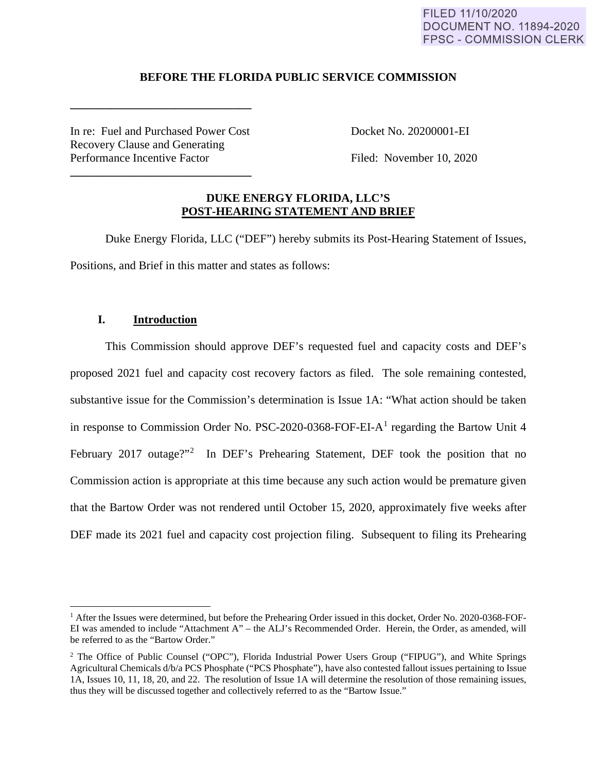#### FILED 11/10/2020 **DOCUMENT NO. 11894-2020 FPSC - COMMISSION CLERK**

## **BEFORE THE FLORIDA PUBLIC SERVICE COMMISSION**

In re: Fuel and Purchased Power Cost Docket No. 20200001-EI Recovery Clause and Generating Performance Incentive Factor Filed: November 10, 2020

**\_\_\_\_\_\_\_\_\_\_\_\_\_\_\_\_\_\_\_\_\_\_\_\_\_\_\_\_\_\_\_** 

**\_\_\_\_\_\_\_\_\_\_\_\_\_\_\_\_\_\_\_\_\_\_\_\_\_\_\_\_\_\_\_** 

## **DUKE ENERGY FLORIDA, LLC'S POST-HEARING STATEMENT AND BRIEF**

Duke Energy Florida, LLC ("DEF") hereby submits its Post-Hearing Statement of Issues, Positions, and Brief in this matter and states as follows:

## **I. Introduction**

This Commission should approve DEF's requested fuel and capacity costs and DEF's proposed 2021 fuel and capacity cost recovery factors as filed. The sole remaining contested, substantive issue for the Commission's determination is Issue 1A: "What action should be taken in response to Commission Order No. PSC-2020-0368-FOF-EI- $A<sup>1</sup>$  regarding the Bartow Unit 4 February 2017 outage?"<sup>2</sup> In DEF's Prehearing Statement, DEF took the position that no Commission action is appropriate at this time because any such action would be premature given that the Bartow Order was not rendered until October 15, 2020, approximately five weeks after DEF made its 2021 fuel and capacity cost projection filing. Subsequent to filing its Prehearing

<sup>&</sup>lt;sup>1</sup> After the Issues were determined, but before the Prehearing Order issued in this docket, Order No. 2020-0368-FOF-EI was amended to include "Attachment A" – the ALJ's Recommended Order. Herein, the Order, as amended, will be referred to as the "Bartow Order."

<sup>&</sup>lt;sup>2</sup> The Office of Public Counsel ("OPC"), Florida Industrial Power Users Group ("FIPUG"), and White Springs Agricultural Chemicals d/b/a PCS Phosphate ("PCS Phosphate"), have also contested fallout issues pertaining to Issue 1A, Issues 10, 11, 18, 20, and 22. The resolution of Issue 1A will determine the resolution of those remaining issues, thus they will be discussed together and collectively referred to as the "Bartow Issue."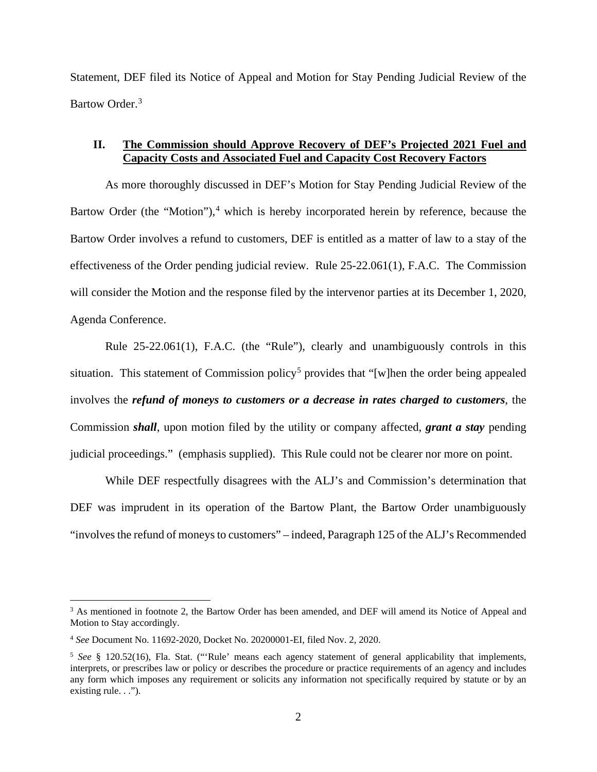Statement, DEF filed its Notice of Appeal and Motion for Stay Pending Judicial Review of the Bartow Order.<sup>3</sup>

## **II. The Commission should Approve Recovery of DEF's Projected 2021 Fuel and Capacity Costs and Associated Fuel and Capacity Cost Recovery Factors**

As more thoroughly discussed in DEF's Motion for Stay Pending Judicial Review of the Bartow Order (the "Motion"),<sup>4</sup> which is hereby incorporated herein by reference, because the Bartow Order involves a refund to customers, DEF is entitled as a matter of law to a stay of the effectiveness of the Order pending judicial review. Rule 25-22.061(1), F.A.C. The Commission will consider the Motion and the response filed by the intervenor parties at its December 1, 2020, Agenda Conference.

Rule 25-22.061(1), F.A.C. (the "Rule"), clearly and unambiguously controls in this situation. This statement of Commission policy<sup>5</sup> provides that "[w]hen the order being appealed involves the *refund of moneys to customers or a decrease in rates charged to customers*, the Commission *shall*, upon motion filed by the utility or company affected, *grant a stay* pending judicial proceedings." (emphasis supplied). This Rule could not be clearer nor more on point.

While DEF respectfully disagrees with the ALJ's and Commission's determination that DEF was imprudent in its operation of the Bartow Plant, the Bartow Order unambiguously "involves the refund of moneys to customers" – indeed, Paragraph 125 of the ALJ's Recommended

<sup>&</sup>lt;sup>3</sup> As mentioned in footnote 2, the Bartow Order has been amended, and DEF will amend its Notice of Appeal and Motion to Stay accordingly.

<sup>4</sup> *See* Document No. 11692-2020, Docket No. 20200001-EI, filed Nov. 2, 2020.

<sup>5</sup> *See* § 120.52(16), Fla. Stat. ("'Rule' means each agency statement of general applicability that implements, interprets, or prescribes law or policy or describes the procedure or practice requirements of an agency and includes any form which imposes any requirement or solicits any information not specifically required by statute or by an existing rule...").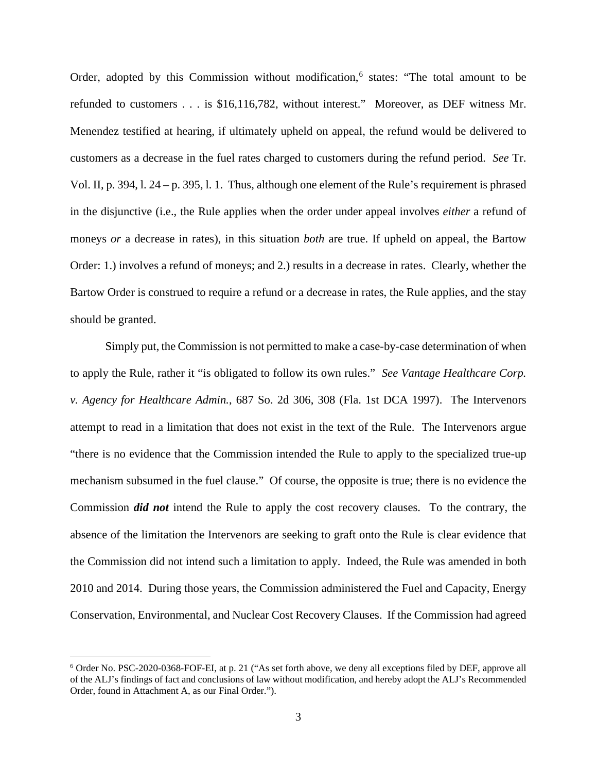Order, adopted by this Commission without modification,<sup>6</sup> states: "The total amount to be refunded to customers . . . is \$16,116,782, without interest." Moreover, as DEF witness Mr. Menendez testified at hearing, if ultimately upheld on appeal, the refund would be delivered to customers as a decrease in the fuel rates charged to customers during the refund period. *See* Tr. Vol. II, p. 394, l. 24 – p. 395, l. 1. Thus, although one element of the Rule's requirement is phrased in the disjunctive (i.e., the Rule applies when the order under appeal involves *either* a refund of moneys *or* a decrease in rates), in this situation *both* are true. If upheld on appeal, the Bartow Order: 1.) involves a refund of moneys; and 2.) results in a decrease in rates. Clearly, whether the Bartow Order is construed to require a refund or a decrease in rates, the Rule applies, and the stay should be granted.

Simply put, the Commission is not permitted to make a case-by-case determination of when to apply the Rule, rather it "is obligated to follow its own rules." *See Vantage Healthcare Corp. v. Agency for Healthcare Admin.*, 687 So. 2d 306, 308 (Fla. 1st DCA 1997). The Intervenors attempt to read in a limitation that does not exist in the text of the Rule. The Intervenors argue "there is no evidence that the Commission intended the Rule to apply to the specialized true-up mechanism subsumed in the fuel clause." Of course, the opposite is true; there is no evidence the Commission *did not* intend the Rule to apply the cost recovery clauses. To the contrary, the absence of the limitation the Intervenors are seeking to graft onto the Rule is clear evidence that the Commission did not intend such a limitation to apply. Indeed, the Rule was amended in both 2010 and 2014. During those years, the Commission administered the Fuel and Capacity, Energy Conservation, Environmental, and Nuclear Cost Recovery Clauses. If the Commission had agreed

<sup>6</sup> Order No. PSC-2020-0368-FOF-EI, at p. 21 ("As set forth above, we deny all exceptions filed by DEF, approve all of the ALJ's findings of fact and conclusions of law without modification, and hereby adopt the ALJ's Recommended Order, found in Attachment A, as our Final Order.").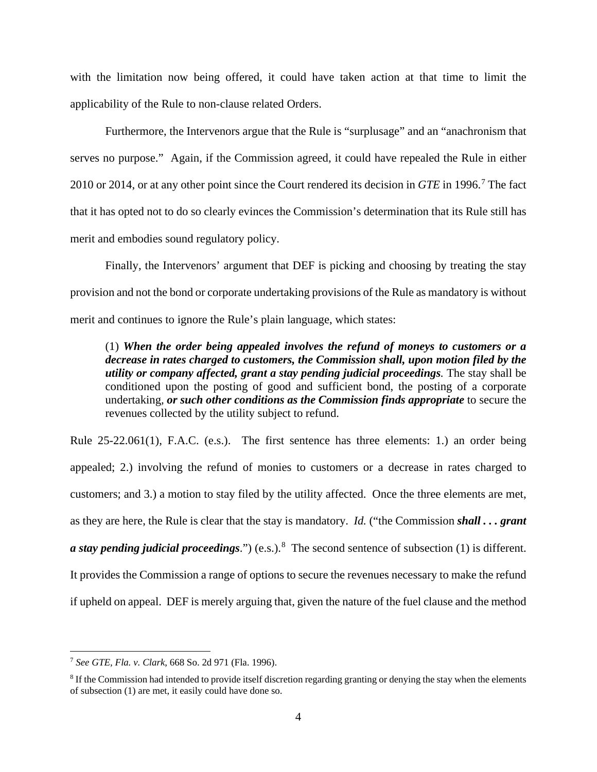with the limitation now being offered, it could have taken action at that time to limit the applicability of the Rule to non-clause related Orders.

Furthermore, the Intervenors argue that the Rule is "surplusage" and an "anachronism that serves no purpose." Again, if the Commission agreed, it could have repealed the Rule in either 2010 or 2014, or at any other point since the Court rendered its decision in *GTE* in 1996. 7 The fact that it has opted not to do so clearly evinces the Commission's determination that its Rule still has merit and embodies sound regulatory policy.

Finally, the Intervenors' argument that DEF is picking and choosing by treating the stay provision and not the bond or corporate undertaking provisions of the Rule as mandatory is without merit and continues to ignore the Rule's plain language, which states:

(1) *When the order being appealed involves the refund of moneys to customers or a decrease in rates charged to customers, the Commission shall, upon motion filed by the utility or company affected, grant a stay pending judicial proceedings.* The stay shall be conditioned upon the posting of good and sufficient bond, the posting of a corporate undertaking*, or such other conditions as the Commission finds appropriate* to secure the revenues collected by the utility subject to refund.

Rule 25-22.061(1), F.A.C. (e.s.). The first sentence has three elements: 1.) an order being appealed; 2.) involving the refund of monies to customers or a decrease in rates charged to customers; and 3.) a motion to stay filed by the utility affected. Once the three elements are met, as they are here, the Rule is clear that the stay is mandatory. *Id.* ("the Commission *shall . . . grant a stay pending judicial proceedings.*") (e.s.).<sup>8</sup> The second sentence of subsection (1) is different. It provides the Commission a range of options to secure the revenues necessary to make the refund if upheld on appeal. DEF is merely arguing that, given the nature of the fuel clause and the method

<sup>7</sup> *See GTE, Fla. v. Clark*, 668 So. 2d 971 (Fla. 1996).

<sup>&</sup>lt;sup>8</sup> If the Commission had intended to provide itself discretion regarding granting or denying the stay when the elements of subsection (1) are met, it easily could have done so.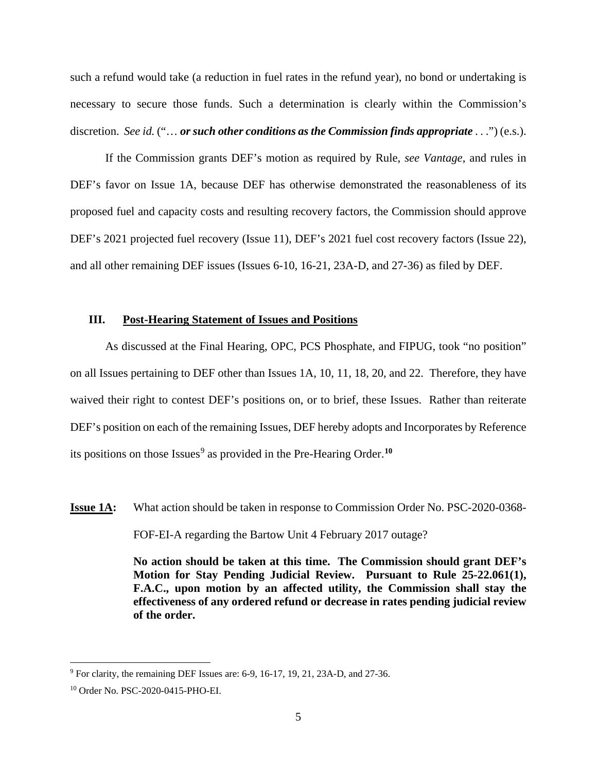such a refund would take (a reduction in fuel rates in the refund year), no bond or undertaking is necessary to secure those funds. Such a determination is clearly within the Commission's discretion. *See id.* ("… *or such other conditions as the Commission finds appropriate* . . .") (e.s.).

If the Commission grants DEF's motion as required by Rule, *see Vantage*, and rules in DEF's favor on Issue 1A, because DEF has otherwise demonstrated the reasonableness of its proposed fuel and capacity costs and resulting recovery factors, the Commission should approve DEF's 2021 projected fuel recovery (Issue 11), DEF's 2021 fuel cost recovery factors (Issue 22), and all other remaining DEF issues (Issues 6-10, 16-21, 23A-D, and 27-36) as filed by DEF.

#### **III. Post-Hearing Statement of Issues and Positions**

As discussed at the Final Hearing, OPC, PCS Phosphate, and FIPUG, took "no position" on all Issues pertaining to DEF other than Issues 1A, 10, 11, 18, 20, and 22. Therefore, they have waived their right to contest DEF's positions on, or to brief, these Issues. Rather than reiterate DEF's position on each of the remaining Issues, DEF hereby adopts and Incorporates by Reference its positions on those Issues<sup>9</sup> as provided in the Pre-Hearing Order.<sup>10</sup>

**Issue 1A:** What action should be taken in response to Commission Order No. PSC-2020-0368-FOF-EI-A regarding the Bartow Unit 4 February 2017 outage?

> **No action should be taken at this time. The Commission should grant DEF's Motion for Stay Pending Judicial Review. Pursuant to Rule 25-22.061(1), F.A.C., upon motion by an affected utility, the Commission shall stay the effectiveness of any ordered refund or decrease in rates pending judicial review of the order.**

<sup>9</sup> For clarity, the remaining DEF Issues are: 6-9, 16-17, 19, 21, 23A-D, and 27-36.

<sup>10</sup> Order No. PSC-2020-0415-PHO-EI.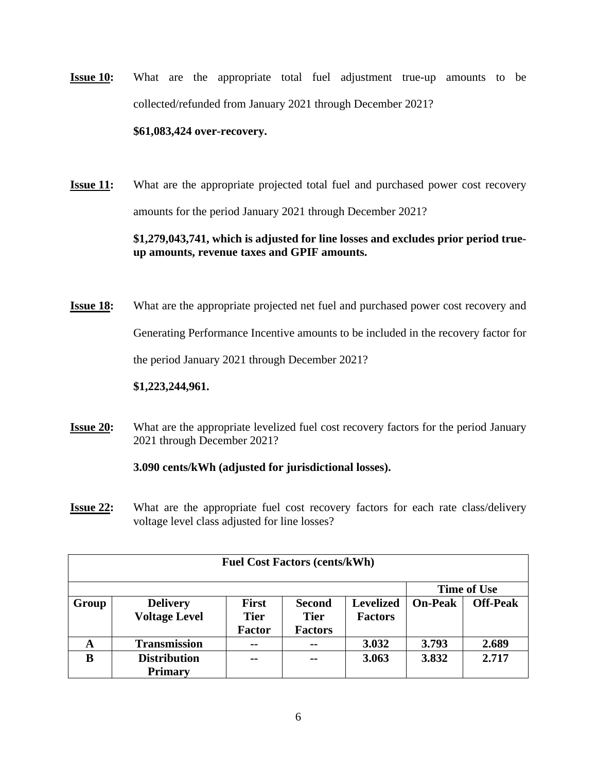**Issue 10:** What are the appropriate total fuel adjustment true-up amounts to be collected/refunded from January 2021 through December 2021?

#### **\$61,083,424 over-recovery.**

**Issue 11:** What are the appropriate projected total fuel and purchased power cost recovery amounts for the period January 2021 through December 2021?

## **\$1,279,043,741, which is adjusted for line losses and excludes prior period trueup amounts, revenue taxes and GPIF amounts.**

- **Issue 18:** What are the appropriate projected net fuel and purchased power cost recovery and Generating Performance Incentive amounts to be included in the recovery factor for the period January 2021 through December 2021? **\$1,223,244,961.**
- **Issue 20:** What are the appropriate levelized fuel cost recovery factors for the period January 2021 through December 2021?

## **3.090 cents/kWh (adjusted for jurisdictional losses).**

**Issue 22:** What are the appropriate fuel cost recovery factors for each rate class/delivery voltage level class adjusted for line losses?

| <b>Fuel Cost Factors (cents/kWh)</b> |                      |                |                |                  |                |                    |  |  |  |  |
|--------------------------------------|----------------------|----------------|----------------|------------------|----------------|--------------------|--|--|--|--|
|                                      |                      |                |                |                  |                | <b>Time of Use</b> |  |  |  |  |
| Group                                | <b>Delivery</b>      | <b>First</b>   | <b>Second</b>  | <b>Levelized</b> | <b>On-Peak</b> | <b>Off-Peak</b>    |  |  |  |  |
|                                      | <b>Voltage Level</b> | <b>Tier</b>    | <b>Tier</b>    | <b>Factors</b>   |                |                    |  |  |  |  |
|                                      |                      | <b>Factor</b>  | <b>Factors</b> |                  |                |                    |  |  |  |  |
| A                                    | <b>Transmission</b>  | $\blacksquare$ | $- -$          | 3.032            | 3.793          | 2.689              |  |  |  |  |
| B                                    | <b>Distribution</b>  | $- -$          | $- -$          | 3.063            | 3.832          | 2.717              |  |  |  |  |
|                                      | <b>Primary</b>       |                |                |                  |                |                    |  |  |  |  |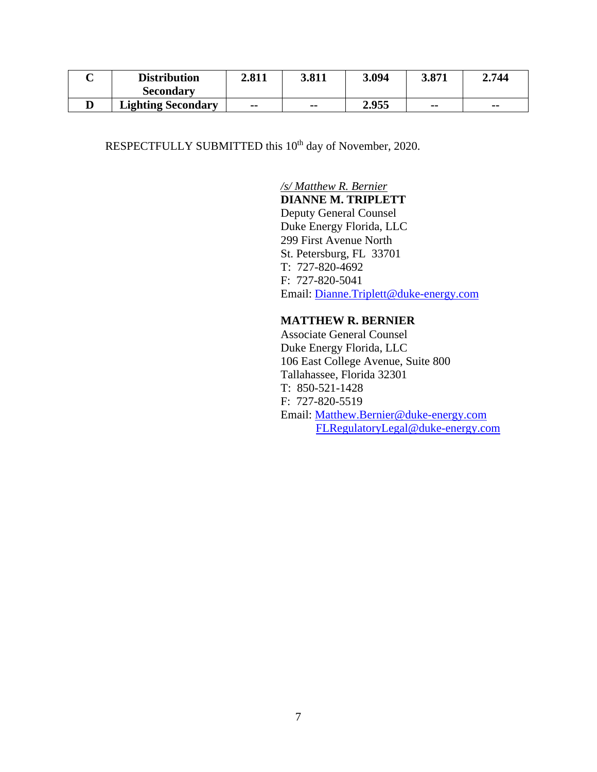| <b>Distribution</b>       | 2.811 | 3.811         | 3.094 | 3.871 | 2.744                    |
|---------------------------|-------|---------------|-------|-------|--------------------------|
| <b>Secondary</b>          |       |               |       |       |                          |
| <b>Lighting Secondary</b> | --    | $\sim$ $\sim$ | 2.955 | $- -$ | $\overline{\phantom{a}}$ |

RESPECTFULLY SUBMITTED this 10<sup>th</sup> day of November, 2020.

# */s/ Matthew R. Bernier*

**DIANNE M. TRIPLETT**

 Deputy General Counsel Duke Energy Florida, LLC 299 First Avenue North St. Petersburg, FL 33701 T: 727-820-4692 F: 727-820-5041 Email: Dianne.Triplett@duke-energy.com

# **MATTHEW R. BERNIER**

 Associate General Counsel Duke Energy Florida, LLC 106 East College Avenue, Suite 800 Tallahassee, Florida 32301 T: 850-521-1428 F: 727-820-5519 Email: Matthew.Bernier@duke-energy.com FLRegulatoryLegal@duke-energy.com